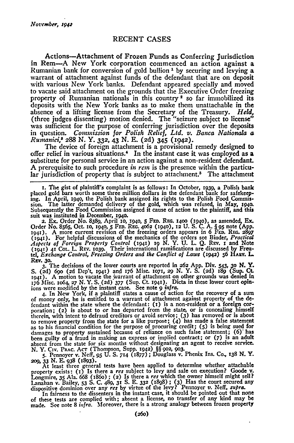## **RECENT CASES**

Actions-Attachment of Frozen Funds as Conferring Jurisdiction in Rem-A New York corporation commenced an action against a Rumanian bank for conversion of gold bullion ' **by** securing and levying a warrant of attachment against funds of the defendant that are on deposit with various New York banks. Defendant appeared specially and moved to vacate said attachment on the grounds that the Executive Order freezing property of Rumanian nationals in this country 2 so far immobilized its deposits with the New York banks as to make them unattachable in the absence of a lifting license from the Secretary of the Treasury. *Held,* (three judges dissenting) motion denied. The "seizure subject to license" **was** sufficient for the purpose of conferring jurisdiction over the deposits in question. *Commission for Polish Relief, Ltd. v. Banca Nalionala a Runtaniei,s* 288 N. Y. **332,** 43 **N. E.** (2d) 345 (1942).

The device of foreign attachment is a provisional remedy designed to offer relief in various situations.' In the instant case it was employed as a substitute for personal service in an action against a non-resident defendant. A prerequisite to such procedure *in ren* is the presence within the particular jurisdiction of property that is subject to attachment.<sup>5</sup> The attachment

i. The gist of plaintiff's complaint is as follows: In October, **1939,** a Polish bank placed gold bars worth some three million dollars in the defendant bank for safekeeping. In April, ig4o, the Polish bank assigned its rights to the Polish Food Commission. The latter demanded delivery of the gold, which was refused, in May, 1940. Subsequently the Food Commission assigned it cause of action to the plaintiff, and this suit was instituted in December, i94o. 2. Ex. Order No. **8389,** April *1o,* **194o, 5** *Fm.* REG. **1400 (1940),** as amended, **Ex.**

Order No. **8565,** Oct. **1o, 1940, 5** Fm. REG. **4o62 (940), 12** U. S. C. A. § **95** note **(App.** 1941). A more current revision of the freezing orders appears in 6 FED. REG. 2897<br>(1941). For helpful discussions of the mechanics of the orders see Binder, Practical<br>Aspects of Foreign Property Control (1941) 19 N. Y. U. tel, *Exchange Control, Freezing Orders and the Conflict of Laws* **(1942) 56 HARV. L. REV.** *3o.*

3. The decisions of the lower courts are reported in 262 App. Div. 543, 30 N. Y.<br>S. (2d) 690 (2d Dep't, 1941) and 176 Misc. 1071, 29 N. Y. S. (2d) 189 (Sup. Ct.<br>1941). A motion to vacate the warrant of attachment on other ions were modified **by** the instant case. See note **9** *infra.*

4. In New York, if a plaintiff states a cause of action for the recovery of a sum of money only, he is entitled to a warrant of attachment against property of the defendant within the state where the defendant: **(x)** is a non-resident or a foreign corporation; (2) is about to or has departed from the state, or is concealing himself therein, with intent to defraud creditors or avoid service; *(3)* has removed or is about to remove property from the state for a like purpose; (4) has made a false statement as to his financial condition for the purpose of procuring credit; **(5)** is being sued for damages to property sustained because of reliance on such false statement; **(6)"** has been guilty of a fraud in making an express or implied contract; or **(7)** is an adult absent from the state for six months without designating an agent to receive service. **N.** Y. Civ. PRAc. **AcT** (Thompson, Supp. **1942)** §§ **902,** *903.*

5. Pennoyer v. Neff, 95 U. S. 714 (1877); Douglass v. Phenix Ins. Co., 138 N. Y. **209,** *33* **N.** E. **938 (1893).**

At least three general tests have been applied to determine whether attachable<br>property exists: (1) Is there a *res* subject to levy and sale on execution? Goode v. Longmire, **35** Ala. 668 (i86o) ; **(2)** Is there a *res* which the owner himself might sell? Lanahan v. Bailey, **53 S.** C. 489, **31 S. E. 332** (I88) **; (3)** Has the court secured any dispositive dominion over any *res* **by** virtue of the levy? Pennoyer v. Neff. *supra.*

In fairness to the dissenters in the instant case, it should be pointed out that none of these tests are complied with; absent a license, no transfer of any kind may be made. See note 8 *infra.* Moreover, there is a strong analogy between frozen property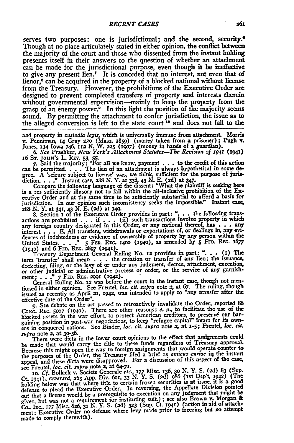serves two purposes: one is jurisdictional; and the second, **security.\*** Though at no place articulately stated in either opinion, the conflict between the majority of the court and those who dissented from the instant holding presents itself in their answers to the question of whether an attachment can be made for the jurisdictional purpose, even though it be ineffective to give any present lien.<sup>7</sup> It is conceded that no interest, not even that of lienor,<sup>8</sup> can be acquired in the property of a blocked national without license from the Treasury. However, the prohibitions of the Executive Order are designed to prevent completed transfers of property and interests therein without governmental supervision-mainly to keep the property from the grasp of an enemy power? In this light the position of the majority seems sound. **By** permitting the attachment to confer jurisdiction, the issue as to the alleged conversion is left to the state cnurt **10** and does not fall to the

and property in *custodia legis,* which is universally **immune** from attachment. Morris v. Penniman, *14* Gray **220** (Mass. **1859)** (money taken from a prisoner); Pugh **Y.** Jones, **134** Iowa 746, **112 N. W. 225 (1907)** (money in hands of a **guardian). 6.** *See* Prashker, *New York's Attachment* Statutes-The *Revision of ,941* **(x941)**

16 **ST. JoHN's** L REv. **53, 5- 7.** Said the majority: .For **all** we know, payment **. . .** to the credit of this action can be permitted. **...** The lien of an attachment is always hypothetical in some degree. **A** 'seizure subject to license was, we think, sufficient for **the** purpose of juris-diction... **."** Instant case, 288 **N. Y.** at **338.** 43 **N.** E. **(2d)** at 34.

Compare the following language of the dissent: "What the plaintiff is eking here is a res sufficiently illusory not to fall within the all-inclusive prohibition of the **Ex**ecative Order and at the same time to be sufficiently substantial **to** afford a basis for jurisdiction. In our opinion such inconsistency seeks the impossible." Instant case, **288 N.** Y. at **34r, 43 N.** E. **(2d)** at **349.**

**&** Section **x** of the Executive Order provides in part: **". . .** the following tra sactions are prohibited . . . if . . . (ii) such transactions involve property in which<br>any foreign country designated in this Order, or any national thereof, has interest . . . E. All transfers, withdrawals or exportations of, or dealings in, any evidences of indebtedness or evidence of ownership of property by any person within the dences of indebtedness or evidence of ownership or property by any person whilm the<br>United States...." 5 FED. REG. 1400 (1940), as amended by 5 FED. REG. 1677<br>(1940) and 6 FED. REG. 2897 (1941).<br>Treasury Department General

term 'transfer' shall mean **. . .** the creation or transfer of any lien; the issuance, docketing, filing, or the levy of or under any judgment, decree, attachmnt, execution, or other judicial or administrative process or order, or the service of any garnish-

ment: . . ." 7 FED. REG. 2991 (1942).<br>General Ruling No. 12 was before the court in the instant case, though not mentioned in either opinion. See Freutel, loc. cit. suppo note 2, at 67. The ruling, though issued as recently as April **21, 1942,** was intended to apply to "any transfer after the effective date of the Order".

**9.** See debate on the act passed to retroactively invalidate the Order, reported **86** Co<sub>NG</sub>. Rec. 5007 (1940). There are other reasons: *e. g.*, to facilitate the use of the blocked assets in the war effort, to protect American creditors, to preserve our bar-<br>gaining position in post-war negotiations, to keep "refugee capital" intact for its own-<br>ers in conquered nations. See Binder, loc. cit. *supra* note *2,* at **30-36.**

There were dicta in the lower court opinions to the effect that assignments could be made that would carry the title **to** these funds regardless **of** Treasury approvaL Because this might open the way to foreign assignments that would operate counter **to** the purposes of the Order, the Treasury filed a brief as *amicus curiae* iq the instant appeal, and these dicta were disapproved. For a discussion of this aspect of the case, see Freutel, *loc. cit. supra* note **2,** at **64-71.**

10. Cf. Bollack v. Societe Generale etc., 177 Misc. 136, 30 N. Y. S. (2d) 83 (Sup<br>Ct. 1941), reversed, 263 App. Div. 601, 33 N. Y. S. (2d) 986 (1st Dep't, 1942) (The<br>holding below was that where title to certain frozen sec defense to plead the Executive Order. In reversing, the Appellate Division pointed out that a license would be a prerequisite to execution on any judgment that might be given, but was not a requirement for instituting suit.) **;** see also Brown v. Morgan **&** Co- Inc.. *177* Misc. **626, 31** *N.* **Y. S. (2d) 323** (Sup. Ct. i94r) (action in aid of attach-ment: Executive **Order** no defense where levy made prior to freezing but no attempt made to comply therewith).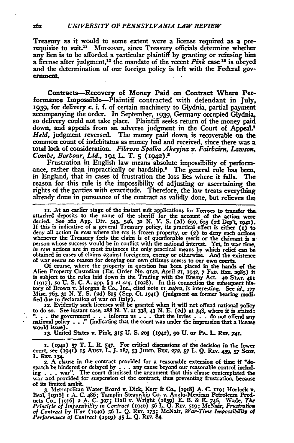Treasury as it would to some extent were a license required as a prerequisite to suit.<sup>11</sup> Moreover, since Treasury officials determine whether any lien is to be afforded a particular plaintiff **by** granting or refusing him a license after judgment, 2 the mandate **of** the recent *Pink* case **13** is obeyed and the determination of our foreign policy is left with the Federal gov**ernment.**

Contracts-Recovery of Money Paid on Contract Where Performance Impossible-Plaintiff contracted with defendant in July, 1939, for delivery c. i. f. of certain machinery to Glydnia, partial payment accompanying the order. In September, 1939, Germany occupied Glydnia, so delivery could not take place. Plaintiff seeks return of the money paid down, and appeals from an adverse judgment in the Court of Appeal.<sup>1</sup> *Held,* judgment reversed. The money paid down is recoverable on the common count of indebitatus as money had and received, since there was a total lack of consideration. *Fibrosa Spolka Akeyjna v. Fairbairn, Lawson, Combe, Barbour, Ltd.,* 194 **L.** T. **5 (i942) -s**

Frustration in English law means absolute impossibility of performance, rather than impractically or hardship.<sup>8</sup> The general rule has been, in England, that in cases **of** frustration the loss lies where it falls. The reason for this rule is the impossibility of adjusting or ascertaining the rights of the parties with exactitude. Therefore, the law treats everything already done in pursuance of the contract as validly done, but relieves the

**ii.** At an earlier stage of the instant suit applications for licenses to transfer the. attached deposits to the name of the sheriff for the account of the action **were** denied. See *26a* **App.** Div. 543, **546, 3o N.** Y. **S. (2d)** 69o, **693** *(2d* Dep't, **194). If** this is indicative of a general Treasury policy, its practical effect is either **(i)** to deny all action *in rem* where the *res* is frozen property, or (2) to deny such **actions** whenever the Treasury feels the claim is of questionable merit or the claimant is a person whose success would be in conflict with the national interest. Yet, in **war** time, *in rem* actions are in most instances the only practical means **by** which relief can **be** obtained in cases of claims against foreigners, enemy or otherwise. And the existence of war seems no reason for denying our own citizens acesss to our own courts,

**Of** course, where the property in question has been placed in the hands of the Alien Property Custodian (Ex. Order No. 9142, April 21, 1942, 7 FED. REG. 2985) it<br>is subject to the rules laid down in the Trading with the Enemy Act. 40 STAT. 411 (1917), so U. S. C. A. app. § 1 et seq. (1928). In this connection the subsequent his-<br>tory of Brown v. Morgan & Co., Inc., cited note 11 supra, is interesting. See id., 177 Misc. 763. 31 N. Y. S. (2d) 815 (Sup. Ct. 1941) (judgment on former hearing modified due to declaration of war on Italy).<br>12. Evidently such licenses will be granted when it will not offend national policy

12. Evidently such licenses will be granted when it will not offend rational policy<br>to do so. See instant case,  $288$  N. Y. at  $338$ ,  $43$  N. E. (2d) at  $348$ , where it is stated:<br>"... the government ... informs us ... th would issue).

*x3.* United States **V.** Pink, **315 U. S. 203 (x942), go U. or PA. L.** REv. 74r.

**x. (94i) 57** T. L. P.547. For critical discussions of the decision in the lower court, see (1941) **i5** AusT. **LJ.** *x87, 33* **JURI. REv.** *27, 57* **L Q.** Rv. **439,** *57* **<sup>S</sup> I-** R~v. 134.

*2.* **A** clause in the contract provided for **a** reasonable extension of time **if** "despatch be hindered or delayed by  $\ldots$  any cause beyond our reasonable control including  $\ldots$  war". The court dismissed the argument that this clause contemplated the war and provided for suspension of the contract, thus war and provided for suspension of the contract, thus preventing frustration, because of its limited ambit.

*3.* Metropolitan Water Board v. Dick, Kerr & Co. **[i9181 A. C. xig; Horlock v. Beal,** 119161 **i A. C.** 486; Tamplin Steamship Co. v. Anglo-Mexican Petroleum Products Co., [1916] 2 A. C. 397; Hall v. Wright (1859) E. B. & E. 746. Wade, The<br>Principle of Impossibility in Contract (1940) 56 L. Q. REv. 519; McNair, Frustration *of Constract by 1liar* **(1O4O) 56 L Q.** REv. **173;** McNair, *War-Time Impossibuity of Performoxce of Contract* **(1919) 35** L. **Q.** REv. **84.**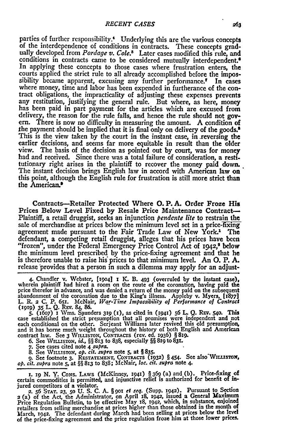parties of further responsibility.<sup>4</sup> Underlying this are the various concepts of the interdependence of conditions in contracts. These concepts gradually developed from *Pordage v. Cole.5* Later cases modified this rule, and conditions in contracts came to be considered mutually interdependent.<sup>6</sup> In applying these concepts to those cases where frustration enters, the courts applied the strict rule to all already accomplished before the impossibility became apparent, excusing any further performance." In cases where money, time and labor has been expended in furtherance of the contract obligations, the impracticality of adjusting these expenses prevents any restitution, justifying the general rule. But where, as here, money has been paid in part payment for the articles which are excused from delivery, the reason for the rule falls, and hence the rule should not govern. There is now no difficulty in measuring the amount. **A** condition of the payment should be implied that it is final only on delivery of the goods.8 This is the view taken **by** the court in the instant case, in .reversing the earlier decisions, and seems far more equitable in result than the older view. The basis of the decision as pointed out by court, was for money **had** and received. Since there was a total failure of consideration, a restitutionary right arises in the plaintiff to recover the money paid down. The instant decision brings English law in accord with American law on this point, although the English rule for frustration is still more strict than the American.<sup>•</sup>

Contracts-Retailer Protected Where **0.** P. **A.** Order Froze His Prices Below Level Fixed **by** Resale Price Maintenance Contract-Plaintiff, a retail druggist, seeks an injunction *pendente lite* to restrain the sale of merchandise at prices below the minimum level set in a price-fixing agreement made pursuant to the Fair Trade Law of New York.<sup>1</sup> The defendant, a competing retail druggist, alleges that his prices have been "frozen", under the Federal Emergency Price Control Act of **1942**,<sup>2</sup> below the minimum level prescribed **by** the price-fixing agreement and that he is therefore unable to raise **his** prices to that minimum level. An **0.** P. **A.** release 'provides that a person in such a dilemma may apply for an adjust-

4. Chandler v. Webster, [19o4] **1** K. B. 493 (overruled **by** the instant case), wherein plaintiff had hired a room on the route of the coronation, having paid the price therefor in advance, and was denied a return of the money paid on the subsequent abandonment of the coronation due to the King's illness. **Appleby** v. Myers, [18771 L. R. 2 C. P. 651. McNair, War-Time Impossibility of Performance of Contract (1919) 35 L. Q. REV. 84, 86.<br>
5. (1607) I Wms. Saunders 319 (1), as cited in (1941) 56 L. Q. REV. 540. This<br>
case established the strict presumpt

each conditional on the other. Serjeant Williams later revived this old presumption, and it has borne much weight throughout the history of both English and American contract law. See 3 WILLISTON, CONTRACTS (rev. ed. 1936) § 819.

6. See **WLLSTON,** *id., §§* **813** to **838,** especially *§§* **8xg** to **831.**

**7.** See cases cited note 4 *supra.*

8. See WILLISTON, op. cit. supra note 5, at § 835.<br>9. See footnote 3. RESTATEMENT, CONTRACTS (1932) § 454. See also WILLISTON, op. cit. supra note 5, at §§ 813 to 838; McNair, loc. cit. supra note 4.

**I.** 19 N. Y. Cons. Laws (McKinney, 1941) § 369 (a) and (b). Price-fixing of certain commodities is permitted, and injunctive relief is authorized for benefit of injured competitors of a violator.

*2.* **56 STAT. 23, 50 U.** S. C. A. § **9o** *et seq.* (Supp. **1942).** Pursuant to Section **2** (a) of the Act, the Administrator, on April **i8,** 1942, issued a General Maximum Price Regulation Bulletin, to be effective May 18, 1942, which, in substance, enjoined<br>retailers from selling merchandise at prices higher than those obtained in the month of<br>March, 1942. The defendant during March had bee of the price-fixing agreement and the price regulation froze him at those lower prices.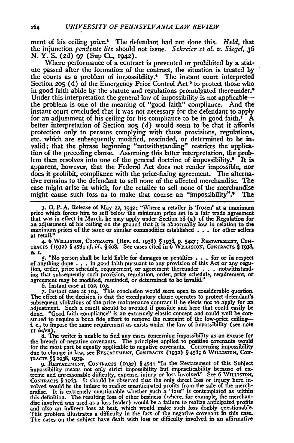ment of his ceiling price." The defendant had not done this. *Held,* that the injunction *pcndcnte* life should not issue. *Schrcicr* **ct** al. *v. Siegel, 36* N. Y. S. (2d) **97** (Sup Ct., **1942).**

Where performance of a contract is prevented or prohibited **by** a statute passed after the formation of the contract, the situation is treated **by** the courts as a problem of impossibility." The instant court interpreted Section **205 (d)** of the Emergency Price Control Act **5** to protect those who in good faith abide by the statute and regulations promulgated thereunder.<sup>6</sup> Under this interpretation the general law of impossibility is not applicable the problem is one of the meaning of "good faith" compliance. And the instant court concluded that it **was** not necessary for the defendant to apply for an adjustment of his ceiling for his compliance to be in good faith.<sup> $\hat{\mathbf{A}}$ </sup> better interpretation of Section **2o5 (d)** would seem to be that it affords protection only to persons complying with those provisions, regulations, etc. which are subsequently modified, rescinded, or determined to be invalid; that the phrase beginning "notwithstanding" restricts the application of the preceding clause. Assuming this latter interpretation, the problem then resolves into one of the general doctrine of impossibility. $\cdot$  It is apparent, however, that the Federal Act does not render impossible, nor does it prohibit, compliance with the price-fixing agreement. The alternative remains to the defendant to sell none of the affected merchandise. **The** case might arise in which, for the retailer to sell none of the merchandise might cause such loss as to make that course an "impossibility"." The

**3. 0. P. A.** Release of May **22,** z942: "Where a retailer is 'frozen' at a maximum price which forces him to sell **below** the minimum price set in a fair trade agreement that was in effect in March, he may apply under Section **x8** (a) of the Regulation for an adjustment of his ceiling on the ground that it is abnormally low in relation to the maximum prices of the same or similar commodities established **. . .** for other sellers at retail."

4. **6** WILusToN, **Co TACTs** (Rev. ed. 1938) § **1938,** p. **5427; RESTATEMENT, CO - TRAcTs (1932)** § 458; *cf. id., §* 6o8. See cases cited in 6 WiLVusTox, CoN.TmcTs § **t938,** n. I.

*S.* "No person shall be **held** liable for damages or penalties **.** . **.** for or in respect of anything done **. . .** in good faith pursuant to any provision of this Act or any **regu**tion, order, price schedule, requirement, or agreement thereunder . . . . notwithstanding that subsequently such provision, regulation, order, price schedule, requirement, or agreement may be modified, rescinded, or determ

6. Instant case at **102, 10h 7.** Instant case at **104.** This conclusion would seem open to considerable question. The effect of the decision is that the exculpatory clause operates to protect defendant's subsequent violations of the price maintenance contract if he elects not to apply for an adjustment. Such a result should be avoided if possible and here that could easily be done. "Good faith compliance" is an extremely elastic concept and could well be con- strued to'require a bona fide effort to remove the restraint of the low-price ceiling-**L** e., to impose the same requirement as exists under the law of impossibility (see note *ri infra).* **8.** The writer is unable to find any cases concerning impossibility as an excuse for

the breach of negative covenants. The principles applied to positive covenants would for the most part be equally applicable to negative covenants. Concerning impossibility due to change in law, see RESTATEMENT, CONTRACTS (1932) § 458; 6 WILLISTON, CON-**TRACTS** §§ **1938, 1939.**

9. **RESTATEMENT, CONTRACTS (1932)** §454: "In the Restatement of this Subject impossibility means not only strict impossibility but impracticability because of ex- treme and unreasonable difficulty, expense, injury or loss involved.' See **6 VILLs'To.v,** CONTRACTS § 1963. It should be observed that the only direct loss or injury here involved would be the failure to realize unanticipated profits from the sale of the merchandise. It is extremely questionable whether such a disc involved was used as a loss leader) would be a failure to realize anticipated profits and also an indirect loss at best, which would make such loss doubly questionable. This problem illustrates a difficulty in the fact of the negative covenant in this case. The cases on the subject have dealt with loss or difficulty involved in an affirmative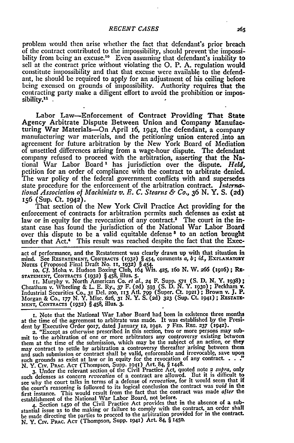problem would then arise whether the fact that defendant's prior breach of the contract contributed to the impossibility, should prevent the **impossi**bility from being an excuse.<sup>10</sup> Even assuming that defendant's inability to sell at the contract price without violating the **0.** P. **A.** regulation would constitute impossibility and that that excuse were available to the defendant, he should be required to apply for an adjustment of his ceiling before being excused on grounds of impossibility. Authority requires that the contracting party make a diligent effort to avoid the prohibition or impossibility.<sup>11</sup>

Labor Law-Enforcement of Contract Providing That State Agency Arbitrate Dispute Between Union and Company Manufacturing War Materials-On April i6, **1942,** the defendant, a company manufacturing war materials, and the petitioning union entered .into an agreement for future arbitration **by** the New York Board of Mediation of unsettled differences arising from a wage-hour dispute. The defendant company refused to proceed with the arbitration, asserting that the National War Labor Board **1** has jurisdiction over the dispute. *Held,* petition for an order of compliance with the contract to arbitrate denied. The war policy of the federal government conflicts with and supersedes state procedure for the enforcement of the arbitration contract. *liaernational Association of Machinists v. E. C. Stearns & Co.,* 36 **N.** Y. **S. (2d)** 156 (Sup. Ct. **1942).**

That section of the New York Civil Practice Act providing for the enforcement of contracts for arbitration permits such defenses as exist at law or in equity for the revocation of any contract.<sup>2</sup> The court in the instant case has found the jurisdiction of the National War Labor Board over this dispute to be a valid equitable defense<sup>s</sup> to an action brought under that Act.' This result was reached despite the fact that the Exec-

act of performance, and the Restatement was clearly drawn up with that situation in mind. See **RESTATEMENT, CONTRACTS (1932)** § 454, comments **a,** *b; id.,* **EXPLANATORY**

Nores (Proposed Final Draft No. 11, 1932) § 454.<br>10. Cf. Moha v. Hudson Boxing Club, 164 Wis. 425, 160 N. W. 266 (1916); RESTATEMENT, CONTRACTS (1932) § 458, illus. 5.<br>11. Murphy v. North American Co. et al., 24 F. Supp. 5

Cheatham v. Wheeling & L. E. Ry., 37 F. (2d) 593 (S. D. N. Y. 1930); Peckham v.<br>Industrial Securities Co., 31 Del. 200, 113 Atl. 799 (Super. Ct. 1921); Brown v. J. P. Morgan & Co., *177* **N.** Y. Misc. 626, *3* **N.** Y. **S. (2d) 323** (Sup. Ct. **1941) ; REsTATz-7MENT, CONTRACTS (1932) §** 458, illus. **3.**

**x.** Note that the National War Labor Board had been in existence three months at the time of the agreement to arbitrate was made. It was established **by** the Presi-

dent by Executive Order 9017, dated January 12, 1942. 7 FED. REG. 237 (1942).<br>2. "Except as otherwise prescribed in this section, two or more persons may submit to-the arbitration of one or more arbitrators any controversy existing between them at the time of the submission, which may be the subject of an action, or they may contract to settle by arbitration a controversy thereafter arising between them and such submission or contract shall be valid, enforceable and irrevocable, save upon such grounds as exist at law or in equity for the revocation of any contract.

N. Y. Civ. PRAc. ACT (Thompson, Supp. **1941)** Art. 84, § x448. **3.** Under the relevant section of **the** Civil Practice Act, quoted note 2 *supra,* only such defenses as concern *revocation* of a contract are allowed. But it is difficult to see why the court talks in terms of a defense of *revocation*, for it would seem that if the court's reasoning is followed to its logical conclusion the contract was *void* in the first instance. This would result from the fact that the contract was made after the<br>establishment of the National War Labor Board, not before.<br>4. Section 1450 of the Civil Practice Act provides that in the absence of a su

stantial issue as to the making or failure to comply with the contract, an order shall be made directing the parties to proceed to the arbitration provided for in the contract. N. Y. Civ. PRAc. ACT (Thompson, Supp. **1941)** Art. 84, § **1450.**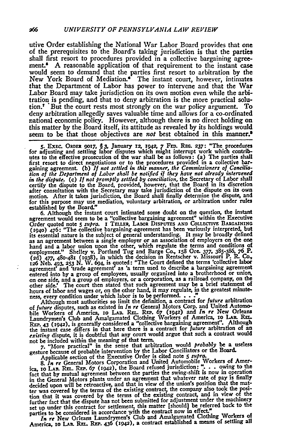utive Order establishing the National War Labor Board provides that one of the prerequisites to the Board's taking jurisdiction is that the parties shall first resort to procedures provided in a collective bargaining agreement.' A reasonable application of that requirement to the instant case would seem to demand that the parties first resort to arbitration by the New York Board of Mediation.<sup>4</sup> The instant court, however, intimates that the Department of Labor has power to intervene and that the War Labor Board may take jurisdiction on its own motion even while the arbitration is pending, and that to deny arbitration is the more practical solution.7 But the court rests most strongly on the war policy argument. To deny arbitration allegedly saves valuable time and allows for a co-ordinated national economic policy. However, although there is no direct holding on this matter by the Board itself, its attitude as revealed by its holdings would seem to be that those objectives are not best obtained in this manner.<sup>8</sup>

5. Exec. ORDER 9017, §3, January 12, 1942, 7 FED. REG. 237: "The procedures for adjusting and settling labor disputes which might interrupt work which contributes to the effective prosecution of the war shall be as follows: (a) The parties shall first resort to direct negotiations or to the procedures provided in a collective bargaining agreement. **(b)** *If not settled in this manner, the Commissioners of Conciliation of the Department of Labor shall be notified if they have not already intervened in the dispute. (c) If* not promptly *settled* **by** *conciliation,* the Secretary of Labor shall certify the dispute to the Board, provided, however, that the Board in its discretion after consultation with the Secretary may take jurisdiction of the dispute on its own motion. After it takes jurisdiction, the Board shall finally determine the dispute, and for this purpose may use mediation, voluntary arbitration, or arbitration under rules established **by** the Board."

**6.** Although the instant court intimated some doubt on the question, the instant agreement would seem to be a "collective bargaining agreement" within the Executive Order quoted note *S supra.* **I TELLER, LABoR** DxsrTs **AND** CoEcrivz **BARGAINING (1940)** 476: "The collective bargaining-agreement has been variously interpreted, but its essential nature is the subject of general understanding. It may be broadly defined as an agreement between a single employer or an association of employers on the one hand and a labor union upon the other, which regulate the terms and conditions of employment." Shelley v. Portland Tug and Barge Co., **x58** Ore. *377,* **38 -386, 76** P. **(2d) 477,** 480-481 (1938), in which the decision in Rentscher v. Missouri P. R. **Co.,** 126 Neb. 493, 253 N. W. 694, is quoted: "The Court defined the terms 'collective labor<br>agreement' and 'trade agreement' as 'a term used to describe a bargaining agreement<br>entered into by a group of employees, usually organ hours of labor and wages or, on the other hand, it may regulate, in the greatest **minute-**

ness, every condition under which labor is to be performed. **...** Although most authorities so limit the definition, a contract for *future* arbitration of *future* disputes, such as existed in *In re* General Motors Corp. and United Automo-bile Workers of America, **io LAB.** R1.. RP. **67** *(x942)* and *In re New* Orleans Laundrymen's Club and Amalgamated Clothing Workers of America, **10 LAB. REL.**<br>REP. 43 (1942), is generally considered a "collective bargaining agreement". Although the instant case differs in that here there is a contract for *future* arbitration of **an** *existing* dispute, it is doubtful that any court would argue that such a contract would

not be included within the meaning **of** that **term. 7.** "More practical" in the sense that arbitration would *probably* **be a** useless Section because of probable intervention by the Labor Conciliators or the Board.<br>Applicable section of the Executive Order is cited note 5 supra.<br>8. In re General Motors Corporation and United Automobile Workers of Amer

ica, 10 LAB. REL. REP. 67 (1942), the Board refused jurisdiction: ". . . owing to the fact that **by** mutual agreement between the parties the swing-shift is now in operation in the General Motors plants under an agreement that whatever rate of pay is finally decided upon will be retroactive, and that in view of the union's position that the matdeclined upon with the terms of the existing contract, the company also took the position that it was covered by the terms of the existing contract, and in view of the further fact that the dispute has not been submitted f set up under this contract for settlement, this matter [should] be referred back to the parties to be considered in accordance with the contract now in effect."

parties to be considered in accordance in Club and Amalgamated Clothing Workers of<br>*In re* New Orleans Laundrymen's Club and Amalgamated Clothing Workers of<br>America, **10 LAB. REL. REP. 436 (1942)**, a contract established a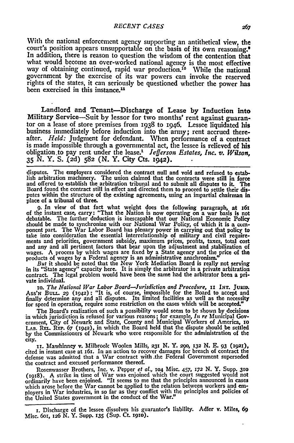With the national enforcement agency supporting an antithetical view, the court's position appears unsupportable on the basis of its own reasoning.' In addition, there is reason to question the wisdom of the contention that what would become an over-worked national agency is the most effective way of obtaining continued, rapid war production.<sup>10</sup> While the national government by the exercise of its war powers can invoke the reserved rights of the states, it can seriously be questioned whether the power has been exercised in this instance.<sup>11</sup>

Landlord and Tenant-Discharge of Lease **by** Induction into Military Service-Suit **by** lessor for two months' rent against guarantor on a lease of store premises from 1938 to 1946. Lessee liquidated his business immediately before induction into the army; rent accrued thereafter. Held: Judgment for defendant. When performance of a contract is made impossible through a governmental act, the lessee is relieved of his obligation.to pay rent under the lease.1 *Jefferson Estates, Inc. v. Wilson,* **35 N.** Y. **S. (2d) 582 (N.** Y. City Cts. 1942).

disputes. The employers considered the contract null and void and refused to establish arbitration machinery. The union claimed that the contracts were still in force and offered to establish the arbitration tribunal and to submit all disputes to **it.** The Board found the contract still in effect and directed them to proceed to settle their disputes within the structure of the existing agreements, using an impartial chairman in place of a tribunal of three.

**9.** In view of that fact what weight does the following paragraph, at **x6s** of the instant case, carry: "That the Nation is now operating on a war basis is not debatable. The further deduction is inescapable that our National Economic Policy should be made to synchronize with our National War Policy, of which it is a component part. The War Labor Board has plenary power in carrying out that policy to take into consideration the essential interrelationship of military and civil requirements and priorities, government subsidy, maximum prices, profits, taxes, total cost and any and all pertinent factors that bear upon the adjustment and stabilization of wages. A process **by** which wages are fixed **by** a State agency and the price of the products of wages **by** a Federal agency is an administrative anachronism." *But* it should be noted that the New York Mediation Board is really not serving

in its "State agency" capacity here. It is simply the arbitrator in a private arbitration contract. The legal problem would have been the same had the arbitrator been a private individual.

to. *The National War Labor Board-ursdction and Procedure,* it **INT. JuRiD.** Ass'x BULL. 29 **(942):** "It is, of course, impossible for the Board to accept and finally determine any **and** all disputes. Its limited facilities **as** well **as** the necessity for speed in operation, require some restriction on the cases which will be accepted."

The Board's realization of such a possibility would seem to be shown **by** decisions in which jurisdiction is refused for various reasons; for example, *In re* Municipal Government, City of Newark and State, County and Municipal Workers of America, to **LA. REL. REP. 67 (1942),** in which the Board held that the dispute should be settled **by** the Commissioners of Newark who were responsible for the administration of the **city. xt.** Mawhinney v. Milbrook Woolen Mills, **231 N.** Y. *29A,* **x32 N. E. 93 (1921),**

cited in instant case at 161. In an action to recover damages for breach of contract the defense was admitted that a War contract with .the Federal Government superseded the contract and excused performance thereof.

Rosenwasser Brothers, Inc. v. Pepper *et a[.,* **104** Misc. 457, *172* **N.** Y. Supp. **310** (x918). A strike in time of War was enjoined which the court suggested would not ordinarily have **been enjoined.** "It seems to me that the principles announced in cases which arose before the War cannot be applied to the relation between workers and employers in War industries, in so far as they conflict with the principles and policies of the United States government in the conduct of the War."

**r.** Discharge of the lessee dissolves his guarantor's liability. Adler v. Miles, **69** Misc. 6or, 126 **N.** Y. Supp. **135** (Sup. **CL 1910).**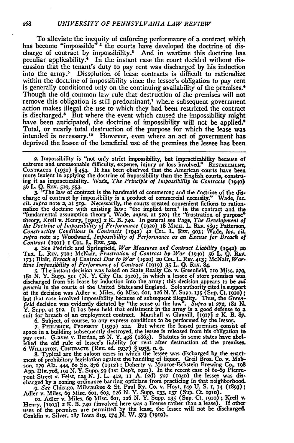To alleviate the inequity of enforcing performance of a contract which has become "impossible"<sup>2</sup> the courts have developed the doctrine of discharge of contract by impossibility.<sup>3</sup> And in wartime this doctrine has peculiar applicability.<sup>4</sup> In the instant case the court decided without discussion that the tenant's duty to pay rent was discharged **by** his induction into the army.<sup>5</sup> Dissolution of lease contracts is difficult to rationalize within the doctrine of impossibility since the lessee's obligation to pay rent is generally conditioned only on the continuing availability of the premises.<sup>4</sup> Though the old common law rule that destruction of the premises will not remove this obligation is still predominant,<sup> $\tau$ </sup> where subsequent government action makes illegal the use to which they had been restricted the contract is discharged.<sup>8</sup> But where the event which caused the impossibility might have been anticipated, the doctrine of impossibility will not be applied.<sup>\*</sup> Total, or nearly total destruction of the purpose for which the lease was intended is necessary.10 However, even where an act of government has deprived the lessee of the beneficial use of the premises the lessee has **been**

**2.** Impossibility is "not only strict impossibility, but impracticability because of extreme and unreasonable difficulty, expense, injury or loss involved." RESTATEMENT, **CONTRACTS (1932)** § **454** It has been observed that the American courts have been more lenient in applying the doctrine of impossibility than the English courts, construing it as impracticability. Wade, *The Principle of Impossibility in Contracts (194o)* **56** L **Q. REv.** *519, 553.* **3.** "The law of contract is the handmaid of commerce; and the doctrine of the dis-

charge of contract **by** impossibility is a product of commercial necessity." Wade, *loe. cit. supra* note **2,** at **519.** Necessarily, the courts created convenient fictions to rationnalize the doctrine with existing law: "the implied term" in the contract and the "fundamental assumption theory", Wade, supra, at 520; the "frustration of purpose"<br>theory, Krell v. Henry, [1903] 2 K. B. 740. In general see Page, The Development of<br>the Doctrine of Impossibility of Performance (1920) 18 *Constructive* Conditions in Contracts **(1942) 42** Cot. **L.** REv. **903;** Wade, **loc.** *cit. supra* note 2; Woodward, Impossibility of Performance *as an* Excuse *for Breach of*

Contract (1901) 1 Col. L. REV. 529.<br>4. See Pedrick and Springfield, *War Measures and Contract Liability* (1942) 20<br>TEX. L. REV. 710; McNair, *Frustration of Contract by War* (1940) 56 L. Q. REV.<br>173; Blair, *Breach of Con* 

181 N. Y. Supp. 511 (N. Y. City Cts. 1920), in which a lessee of store premises was discharged from his lease by induction into the army; this decision appears to be surfacently for the United States and England. Sole auth of the decision was Adler v. Miles, **69** Misc. 6oi, **126 N.Y.** Supp. **135** (Sup. **Ct. 19io);** but that case involved impossibility because of subsequent illegality. Thus, the Green-<br>field decision was evidently dictated by "the sense of the law". Supra at 272, 181 N.<br>Y. Supp. at 512. It has been held that enlistmen suit for breach of an employment contract. Marshall v. Glanvill, **[19171** 2 **K.** B. *87.* **6.** Subject, of course, to any express conditions to be performed **by** the lessor.

**7..** PHIsLRfuCK, PROPERTY **(1939) 222.** But where the leased premises consist **of** space in a building subsequently destroyed, the lessee is released from his obligation to pay rent. Graves **v.** Berdan, **26 N. Y.** 498 (1863). Statutes in some states have abol-ished the old rule of lessee's liability for rent after destruction of the premises. **6** WmuL!sTox, **CONTRACrS** (Rev. **ed. 1937)** § **1955,** n. **9. 8.** Typical are the saloon cases in which the lessee was discharged **by** the enact-

ment of prohibitory legislation against the handling of liquor. Greil Bros. Co. v. Mabson, 179 Ala. 444, 60 So. 876 (1912); Doherty v. Monroe-Eckstein Brewing Co., 198<br>App. Div. 708, 191 N. Y. Supp. 59 (1st Dep't, 1921). I charged **by** a zoning ordinance barring opticians from practicing in that neighborhood.

*9. See* Chicago, Milwaukee & St. Paul Ry. Co. v. Hoyt, **149 U.** S. **1, 14 (1893);** Adler v. Miles, 69 Misc. 601, 603, 126 N. Y. Supp. 135, 137 (Sup. Ct. 1910).<br>10. Adler v. Miles, 69 Misc. 601, 126 N. Y. Supp. 135 (Sup. Ct. 1910); Krell v.

Henry, **119031 2** K. B. **740** (involved here was a license rather than a lease). **If** other uses of the premises are permitted **by** the lease, the lessee will not be discharged. Conklin v. Silver, 187 Iowa **Sg,** 174.N. W. **573 (1919).**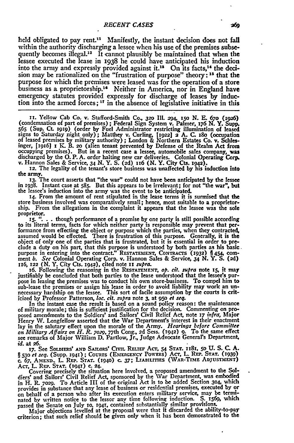held obligated to pay rent." Manifestly, the instant decision does not fall within the authority discharging a lessee when his use of the premises subsequently becomes illegal.<sup>12</sup> It cannot plausibly be maintained that when the lessee executed the lease in 1938 he could have anticipated his induction into the army and expressly provided against it.'3 On its facts, 14 the decision may be rationalized on the "frustration of purpose" theory: **Is** that the purpose for which the premises were leased was for the operation of a store business as a proprietorship.<sup>16</sup> Neither in America, nor in England have emergency statutes provided expressly for discharge of leases **by** induction into the armed forces; **IT** in the absence of legislative initiative in this

**ix.** Yellow Cab Co. v. Stafford-Smith **Co.,** *320* **11. 294, 35o N.** E. *670* **(ra6)** (condemnation of part of premises) **;** Federal Sign System v. Palmer, **176 N.** Y. Supp. **<sup>565</sup>**(Sup. **Ct.** igig) (order **by** Fuel Administrator restricting illumination **of** leased signs to Saturday night only); Matthey v. Curling, **11922]** 2 **A. C.** x8o (occupation of leased premises **by** military authority) **;** London **&** Northern Estates **Co.** v. Schlesinger, [3936] **x K.** B. **2o** (alien tenant prevented **by** Defense of the Realm Act from occupying premises). But in a recent case a lessee, automobile sales company, was discharged by the O.P.A. order halting new car deliveries. Colonial Operating Corp.<br>v. Hannon Sales & Service, 34 N.Y.S. (2d) 116 (N.Y. City Cts. 1942).<br>12. The legality of the tenant's store business was unaffected by his

the army.

**33.** The court asserts that "the war" could not have been anticipated **by** the lessee in **r938.** Instant case at **585.** But this appears to **be** irrelevant; for not "the war", but the lessee's induction into the army was the event to **be** anticipated.

**14.** From the amount of rent stipulated in the lease terms it is surmised that the store business involved **was** comparatively small; hence, most suitable to a proprietorship. From the allegations in the complaint it appears that the lessee was the **sole** proprietor.

**r5. ". . .** though performance of a promise **by** one party is still possible according to its literal terms, facts for which neither party is responsible may prevent that performance from effecting the object or purpose which the parties, when they contracted, assumed would **be** effected. There is frustration of this purpose. Generally, it is the object of only one of the parties that is frustrated, but it is essential in order to preclude a duty on his **part,** that this purpose is understood **by** both parties as his basic purpose in entering into the contract." **RESTATEMENT, CONTRACTS (932) §** 454, **com-**ment *b. See* Colonial Operating Corp. v. Hannon Sales **&** Service, **34 N.** Y. **S. (2d)** 1x6, **x22 (N.** Y. City Cts. x94z), cited note **ii** *supra.*

**16. Following the reasoning in the RESTATEMENT,** *op. cit. supra* **note 15, it may justifiably be concluded that both parties to the lease understood that the lessee's pur**pose in leasing the premises was to conduct his own store-business. To compel him to sub-lease the premises or assign his lease in order to avoid liability may work an unnecessary hardship on the lessee. This sort of facile assumption by the courts is criticized by Professor Patterson, loc. cit. supra note

In the instant case the result is based on a sound policy reason: the maintenance of military morale; this is sufficient justification for the decision. Commenting on pro-<br>posed amendments to the Soldiers' and Sailors' Civil Relief Act, note 17 infra, Major<br>Henry W. Longfellow asserted that the War Dep lay in the salutary effect upon the morale of the Army. *Hearings before Committee on Military Affairs on H. R. 7029, 77th Cong., 2d Sess. (1942) 9. To the same effect see remarks of Major William D. Partlow, Jr., Judge Advocate General's Department, id.* at **26.**

**17.** See **SOLDIERS' AND SAILORS' CIVIw RELIEF** AcT, s4 **STAT.** xi8T, **5o U. S. C. A.** § 530 et seq. (Supp. 1941) ; Courts (Energency Powers) Act, L. Rep. Stat. (1939<br>c. 67, Amend., L. Rep. Stat. (1940) c. 37; Liabilities (War-Time Adjustment

Act, L. REP. STAT. (1941) c. 24.<br>Covering precisely the situation here involved, a proposed amendment to the Soldiers' and Sailors' Civil Relief Act, sponsored **by** the War Department, was embodied in H. **R. 7029.** To Article III of the original Act is to be added Section **304,** which provides in substance that any lease of business or residential premises, executed by or on behalf of a person who after its execution enters military service, may **be** terminated **by** written notice to the lessor any time following induction. **S. i569,** which

passed the Senate on July **1o. i94!,** contained substantially similar provisions. Major objections levelled at the proposal were that it discarded the ability-to-pay criterion; that such relief should be given only when it has been demonstrated to the